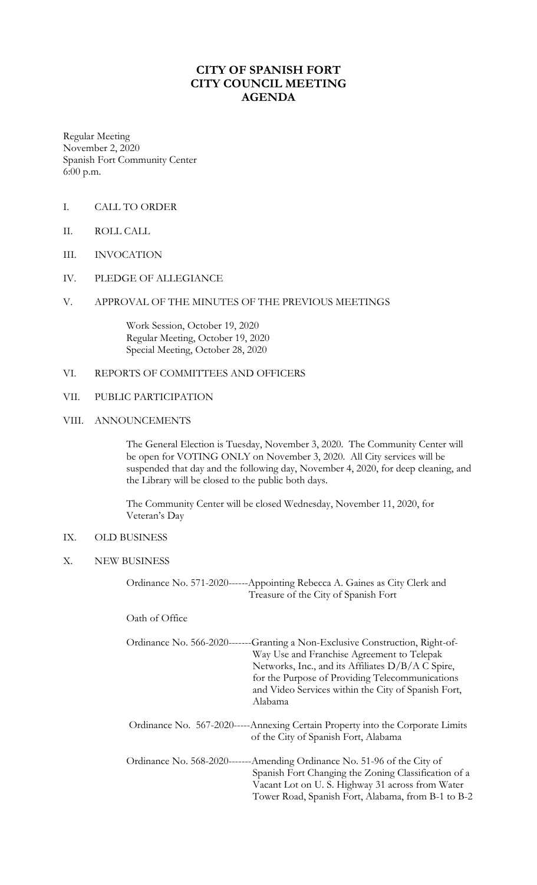# **CITY OF SPANISH FORT CITY COUNCIL MEETING AGENDA**

Regular Meeting November 2, 2020 Spanish Fort Community Center 6:00 p.m.

- I. CALL TO ORDER
- II. ROLL CALL
- III. INVOCATION
- IV. PLEDGE OF ALLEGIANCE

#### V. APPROVAL OF THE MINUTES OF THE PREVIOUS MEETINGS

Work Session, October 19, 2020 Regular Meeting, October 19, 2020 Special Meeting, October 28, 2020

### VI. REPORTS OF COMMITTEES AND OFFICERS

#### VII. PUBLIC PARTICIPATION

#### VIII. ANNOUNCEMENTS

The General Election is Tuesday, November 3, 2020. The Community Center will be open for VOTING ONLY on November 3, 2020. All City services will be suspended that day and the following day, November 4, 2020, for deep cleaning, and the Library will be closed to the public both days.

The Community Center will be closed Wednesday, November 11, 2020, for Veteran's Day

### IX. OLD BUSINESS

X. NEW BUSINESS

Ordinance No. 571-2020------Appointing Rebecca A. Gaines as City Clerk and Treasure of the City of Spanish Fort

Oath of Office

|  | Ordinance No. 566-2020-------Granting a Non-Exclusive Construction, Right-of-  |
|--|--------------------------------------------------------------------------------|
|  | Way Use and Franchise Agreement to Telepak                                     |
|  | Networks, Inc., and its Affiliates $D/B/A C$ Spire,                            |
|  | for the Purpose of Providing Telecommunications                                |
|  | and Video Services within the City of Spanish Fort,                            |
|  | Alabama                                                                        |
|  |                                                                                |
|  | Ordinance No. 567-2020-----Annexing Certain Property into the Corporate Limits |
|  | of the City of Spanish Fort, Alabama                                           |
|  |                                                                                |
|  | Ordinance No. 568-2020-------Amending Ordinance No. 51-96 of the City of       |
|  | Spanish Fort Changing the Zoning Classification of a                           |
|  | Vacant Lot on U.S. Highway 31 across from Water                                |
|  | Tower Road, Spanish Fort, Alabama, from B-1 to B-2                             |